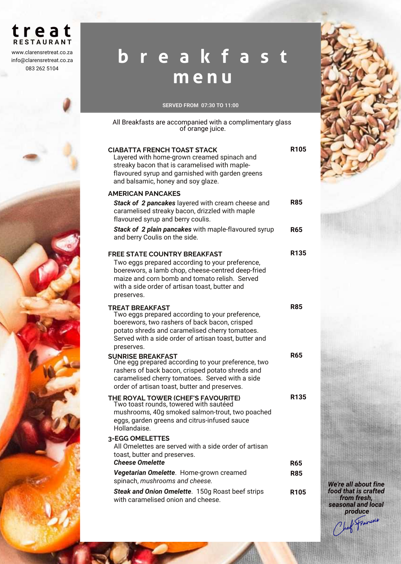## **t r e a t RESTAURANT**

www.clarensretreat.co.za info@clarensretreat.co.za 083 262 5104

## **b r e a k f a s t m e n u**

## SERVED FROM 07:30 TO 11:00

All Breakfasts are accompanied with a complimentary glass of orange juice.

| <b>CIABATTA FRENCH TOAST STACK</b><br>Layered with home-grown creamed spinach and<br>streaky bacon that is caramelised with maple-<br>flavoured syrup and garnished with garden greens<br>and balsamic, honey and soy glaze.                                 | R <sub>105</sub> |
|--------------------------------------------------------------------------------------------------------------------------------------------------------------------------------------------------------------------------------------------------------------|------------------|
| <b>AMERICAN PANCAKES</b>                                                                                                                                                                                                                                     |                  |
| Stack of 2 pancakes layered with cream cheese and<br>caramelised streaky bacon, drizzled with maple<br>flavoured syrup and berry coulis.                                                                                                                     | R85              |
| Stack of 2 plain pancakes with maple-flavoured syrup<br>and berry Coulis on the side.                                                                                                                                                                        | R65              |
| <b>FREE STATE COUNTRY BREAKFAST</b><br>Two eggs prepared according to your preference,<br>boerewors, a lamb chop, cheese-centred deep-fried<br>maize and corn bomb and tomato relish. Served<br>with a side order of artisan toast, butter and<br>preserves. | R <sub>135</sub> |
| <b>TREAT BREAKFAST</b><br>Two eggs prepared according to your preference,<br>boerewors, two rashers of back bacon, crisped<br>potato shreds and caramelised cherry tomatoes.<br>Served with a side order of artisan toast, butter and<br>preserves.          | <b>R85</b>       |
| <b>SUNRISE BREAKFAST</b><br>One egg prepared according to your preference, two<br>rashers of back bacon, crisped potato shreds and<br>caramelised cherry tomatoes. Served with a side<br>order of artisan toast, butter and preserves.                       | <b>R65</b>       |
| THE ROYAL TOWER (CHEF'S FAVOURITE)<br>Two toast rounds, towered with sautéed<br>mushrooms, 40g smoked salmon-trout, two poached<br>eggs, garden greens and citrus-infused sauce<br>Hollandaise.                                                              | R <sub>135</sub> |
| 3-EGG OMELETTES<br>All Omelettes are served with a side order of artisan<br>toast, butter and preserves.                                                                                                                                                     |                  |
| <b>Cheese Omelette</b>                                                                                                                                                                                                                                       | <b>R65</b>       |
| Vegetarian Omelette. Home-grown creamed<br>spinach, mushrooms and cheese.                                                                                                                                                                                    | <b>R85</b>       |
| Steak and Onion Omelette. 150g Roast beef strips<br>with caramelised onion and cheese.                                                                                                                                                                       | R <sub>105</sub> |



We're all about fine food that is crafted from fresh, seasonal and local produce Chef Francois